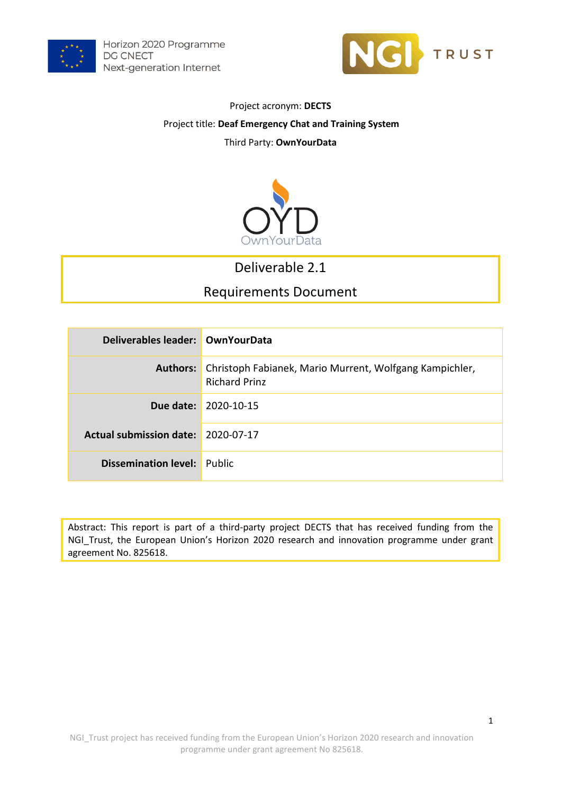



#### Project acronym: **DECTS**

#### Project title: **Deaf Emergency Chat and Training System**

### Third Party: **OwnYourData**



## Deliverable 2.1

## Requirements Document

| Deliverables leader: OwnYourData   |                                                                                 |
|------------------------------------|---------------------------------------------------------------------------------|
| Authors:                           | Christoph Fabianek, Mario Murrent, Wolfgang Kampichler,<br><b>Richard Prinz</b> |
|                                    | Due date: 2020-10-15                                                            |
| Actual submission date: 2020-07-17 |                                                                                 |
| Dissemination level:               | Public                                                                          |

Abstract: This report is part of a third-party project DECTS that has received funding from the NGI\_Trust, the European Union's Horizon 2020 research and innovation programme under grant agreement No. 825618.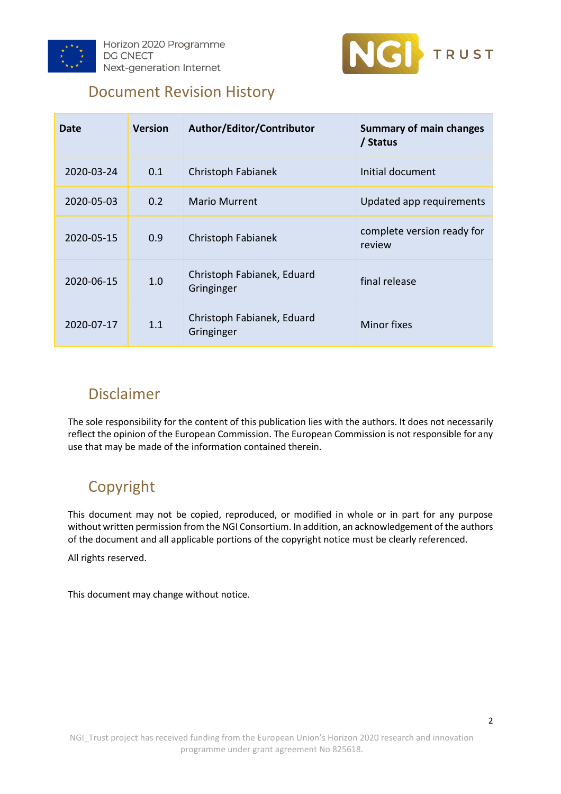



## Document Revision History

| Date       | <b>Version</b> | Author/Editor/Contributor                | <b>Summary of main changes</b><br>/ Status |
|------------|----------------|------------------------------------------|--------------------------------------------|
| 2020-03-24 | 0.1            | Christoph Fabianek                       | Initial document                           |
| 2020-05-03 | 0.2            | <b>Mario Murrent</b>                     | Updated app requirements                   |
| 2020-05-15 | 0.9            | Christoph Fabianek                       | complete version ready for<br>review       |
| 2020-06-15 | 1.0            | Christoph Fabianek, Eduard<br>Gringinger | final release                              |
| 2020-07-17 | 1.1            | Christoph Fabianek, Eduard<br>Gringinger | Minor fixes                                |

## Disclaimer

The sole responsibility for the content of this publication lies with the authors. It does not necessarily reflect the opinion of the European Commission. The European Commission is not responsible for any use that may be made of the information contained therein.

# Copyright

This document may not be copied, reproduced, or modified in whole or in part for any purpose without written permission from the NGI Consortium. In addition, an acknowledgement of the authors of the document and all applicable portions of the copyright notice must be clearly referenced.

All rights reserved.

This document may change without notice.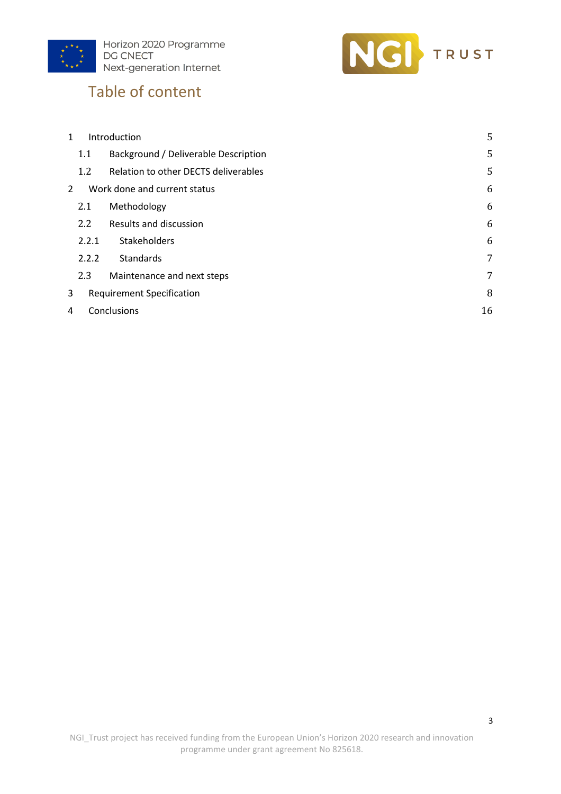



# Table of content

| $\mathbf{1}$ |                  | Introduction                         | 5  |
|--------------|------------------|--------------------------------------|----|
|              | 1.1              | Background / Deliverable Description | 5  |
|              | 1.2              | Relation to other DECTS deliverables | 5  |
| 2            |                  | Work done and current status         | 6  |
|              | 2.1              | Methodology                          | 6  |
|              | $2.2\phantom{0}$ | Results and discussion               | 6  |
|              | 2.2.1            | Stakeholders                         | 6  |
|              | 2.2.2            | Standards                            | 7  |
|              | 2.3              | Maintenance and next steps           | 7  |
| 3            |                  | <b>Requirement Specification</b>     | 8  |
| 4            |                  | Conclusions                          | 16 |
|              |                  |                                      |    |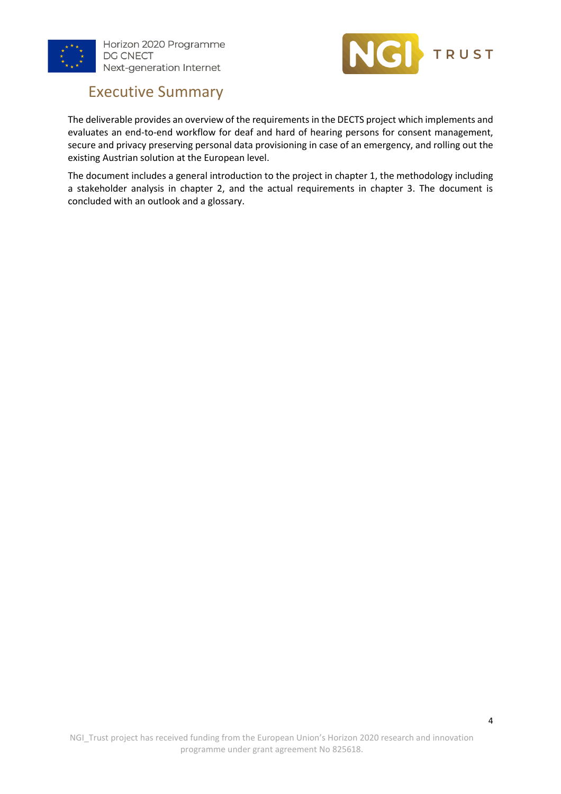



# Executive Summary

The deliverable provides an overview of the requirements in the DECTS project which implements and evaluates an end-to-end workflow for deaf and hard of hearing persons for consent management, secure and privacy preserving personal data provisioning in case of an emergency, and rolling out the existing Austrian solution at the European level.

The document includes a general introduction to the project in chapter 1, the methodology including a stakeholder analysis in chapter 2, and the actual requirements in chapter 3. The document is concluded with an outlook and a glossary.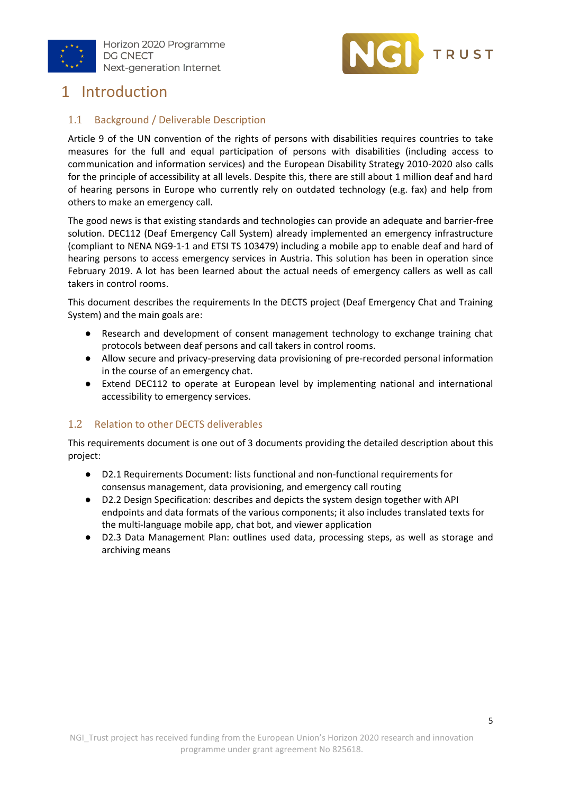



## <span id="page-4-0"></span>1 Introduction

### <span id="page-4-1"></span>1.1 Background / Deliverable Description

Article 9 of the UN convention of the rights of persons with disabilities requires countries to take measures for the full and equal participation of persons with disabilities (including access to communication and information services) and the European Disability Strategy 2010-2020 also calls for the principle of accessibility at all levels. Despite this, there are still about 1 million deaf and hard of hearing persons in Europe who currently rely on outdated technology (e.g. fax) and help from others to make an emergency call.

The good news is that existing standards and technologies can provide an adequate and barrier-free solution. DEC112 (Deaf Emergency Call System) already implemented an emergency infrastructure (compliant to NENA NG9-1-1 and ETSI TS 103479) including a mobile app to enable deaf and hard of hearing persons to access emergency services in Austria. This solution has been in operation since February 2019. A lot has been learned about the actual needs of emergency callers as well as call takers in control rooms.

This document describes the requirements In the DECTS project (Deaf Emergency Chat and Training System) and the main goals are:

- Research and development of consent management technology to exchange training chat protocols between deaf persons and call takers in control rooms.
- Allow secure and privacy-preserving data provisioning of pre-recorded personal information in the course of an emergency chat.
- Extend DEC112 to operate at European level by implementing national and international accessibility to emergency services.

### <span id="page-4-2"></span>1.2 Relation to other DECTS deliverables

This requirements document is one out of 3 documents providing the detailed description about this project:

- D2.1 Requirements Document: lists functional and non-functional requirements for consensus management, data provisioning, and emergency call routing
- D2.2 Design Specification: describes and depicts the system design together with API endpoints and data formats of the various components; it also includes translated texts for the multi-language mobile app, chat bot, and viewer application
- D2.3 Data Management Plan: outlines used data, processing steps, as well as storage and archiving means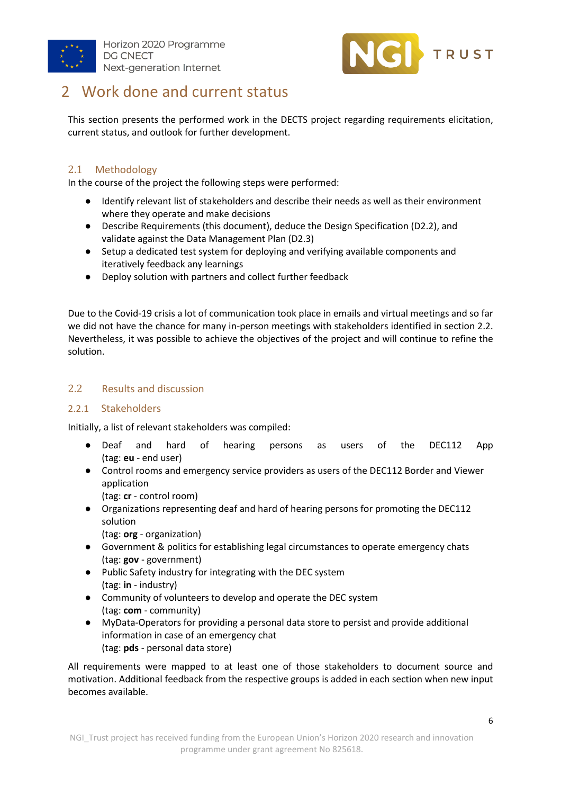



## <span id="page-5-0"></span>2 Work done and current status

This section presents the performed work in the DECTS project regarding requirements elicitation, current status, and outlook for further development.

### <span id="page-5-1"></span>2.1 Methodology

In the course of the project the following steps were performed:

- Identify relevant list of stakeholders and describe their needs as well as their environment where they operate and make decisions
- Describe Requirements (this document), deduce the Design Specification (D2.2), and validate against the Data Management Plan (D2.3)
- Setup a dedicated test system for deploying and verifying available components and iteratively feedback any learnings
- Deploy solution with partners and collect further feedback

Due to the Covid-19 crisis a lot of communication took place in emails and virtual meetings and so far we did not have the chance for many in-person meetings with stakeholders identified in section 2.2. Nevertheless, it was possible to achieve the objectives of the project and will continue to refine the solution.

### <span id="page-5-2"></span>2.2 Results and discussion

### <span id="page-5-3"></span>2.2.1 Stakeholders

Initially, a list of relevant stakeholders was compiled:

- Deaf and hard of hearing persons as users of the DEC112 App (tag: **eu** - end user)
- Control rooms and emergency service providers as users of the DEC112 Border and Viewer application

(tag: **cr** - control room)

- Organizations representing deaf and hard of hearing persons for promoting the DEC112 solution
	- (tag: **org** organization)
- Government & politics for establishing legal circumstances to operate emergency chats (tag: **gov** - government)
- Public Safety industry for integrating with the DEC system (tag: **in** - industry)
- Community of volunteers to develop and operate the DEC system (tag: **com** - community)
- MyData-Operators for providing a personal data store to persist and provide additional information in case of an emergency chat (tag: **pds** - personal data store)

All requirements were mapped to at least one of those stakeholders to document source and motivation. Additional feedback from the respective groups is added in each section when new input becomes available.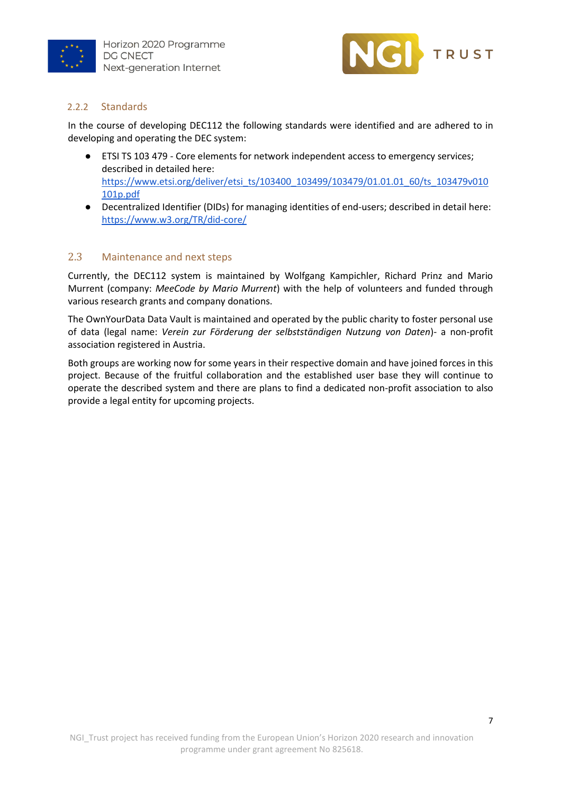



### <span id="page-6-0"></span>2.2.2 Standards

In the course of developing DEC112 the following standards were identified and are adhered to in developing and operating the DEC system:

- ETSI TS 103 479 Core elements for network independent access to emergency services; described in detailed here: [https://www.etsi.org/deliver/etsi\\_ts/103400\\_103499/103479/01.01.01\\_60/ts\\_103479v010](https://www.etsi.org/deliver/etsi_ts/103400_103499/103479/01.01.01_60/ts_103479v010101p.pdf) [101p.pdf](https://www.etsi.org/deliver/etsi_ts/103400_103499/103479/01.01.01_60/ts_103479v010101p.pdf)
- Decentralized Identifier (DIDs) for managing identities of end-users; described in detail here: <https://www.w3.org/TR/did-core/>

#### <span id="page-6-1"></span>2.3 Maintenance and next steps

Currently, the DEC112 system is maintained by Wolfgang Kampichler, Richard Prinz and Mario Murrent (company: *MeeCode by Mario Murrent*) with the help of volunteers and funded through various research grants and company donations.

The OwnYourData Data Vault is maintained and operated by the public charity to foster personal use of data (legal name: *Verein zur Förderung der selbstständigen Nutzung von Daten*)- a non-profit association registered in Austria.

Both groups are working now for some years in their respective domain and have joined forces in this project. Because of the fruitful collaboration and the established user base they will continue to operate the described system and there are plans to find a dedicated non-profit association to also provide a legal entity for upcoming projects.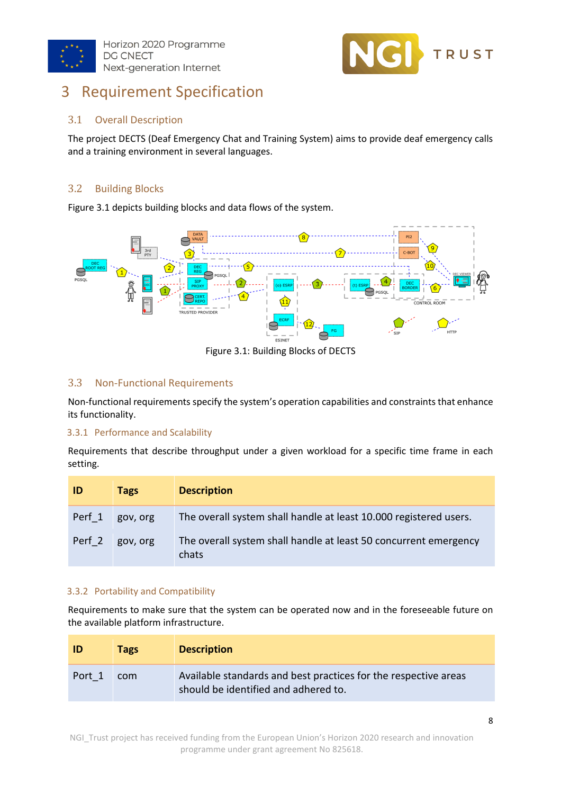



## <span id="page-7-0"></span>3 Requirement Specification

## 3.1 Overall Description

The project DECTS (Deaf Emergency Chat and Training System) aims to provide deaf emergency calls and a training environment in several languages.

## 3.2 Building Blocks

Figure 3.1 depicts building blocks and data flows of the system.



Figure 3.1: Building Blocks of DECTS

### 3.3 Non-Functional Requirements

Non-functional requirements specify the system's operation capabilities and constraints that enhance its functionality.

#### 3.3.1 Performance and Scalability

Requirements that describe throughput under a given workload for a specific time frame in each setting.

| <b>ID</b> | Tags     | <b>Description</b>                                                        |
|-----------|----------|---------------------------------------------------------------------------|
| Perf 1    | gov, org | The overall system shall handle at least 10.000 registered users.         |
| Perf 2    | gov, org | The overall system shall handle at least 50 concurrent emergency<br>chats |

#### 3.3.2 Portability and Compatibility

Requirements to make sure that the system can be operated now and in the foreseeable future on the available platform infrastructure.

| ID     | <b>Tags</b> | <b>Description</b>                                                                                      |
|--------|-------------|---------------------------------------------------------------------------------------------------------|
| Port 1 | com         | Available standards and best practices for the respective areas<br>should be identified and adhered to. |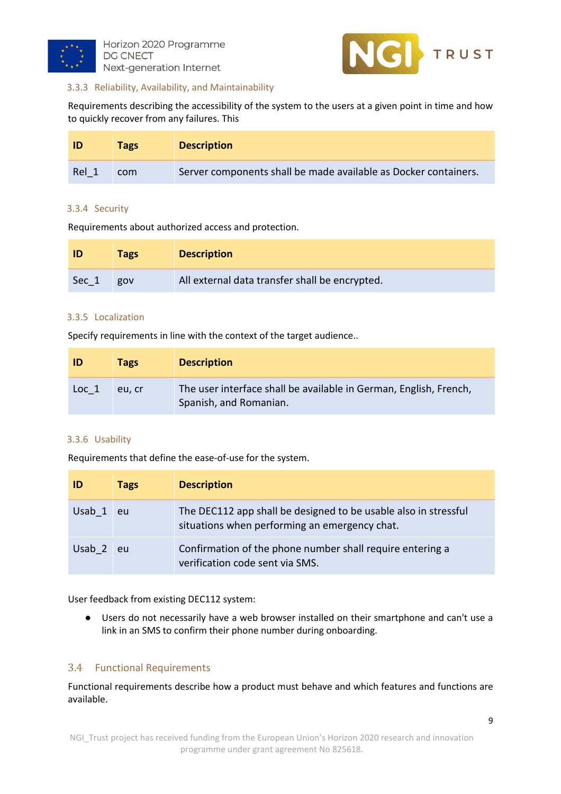



#### 3.3.3 Reliability, Availability, and Maintainability

Requirements describing the accessibility of the system to the users at a given point in time and how to quickly recover from any failures. This

| ID    | <b>Tags</b> | <b>Description</b>                                              |
|-------|-------------|-----------------------------------------------------------------|
| Rel 1 | com         | Server components shall be made available as Docker containers. |

#### 3.3.4 Security

Requirements about authorized access and protection.

|       | <b>Tags</b> | <b>Description</b>                             |
|-------|-------------|------------------------------------------------|
| Sec 1 | gov         | All external data transfer shall be encrypted. |

#### 3.3.5 Localization

Specify requirements in line with the context of the target audience..

| ID               | <b>Tags</b> | <b>Description</b>                                                                          |
|------------------|-------------|---------------------------------------------------------------------------------------------|
| Loc <sub>1</sub> | eu, cr      | The user interface shall be available in German, English, French,<br>Spanish, and Romanian. |

#### 3.3.6 Usability

Requirements that define the ease-of-use for the system.

| ID     | Tags | <b>Description</b>                                                                                               |
|--------|------|------------------------------------------------------------------------------------------------------------------|
| Usab 1 | eu   | The DEC112 app shall be designed to be usable also in stressful<br>situations when performing an emergency chat. |
| Usab 2 | eu   | Confirmation of the phone number shall require entering a<br>verification code sent via SMS.                     |

User feedback from existing DEC112 system:

● Users do not necessarily have a web browser installed on their smartphone and can't use a link in an SMS to confirm their phone number during onboarding.

#### 3.4 Functional Requirements

Functional requirements describe how a product must behave and which features and functions are available.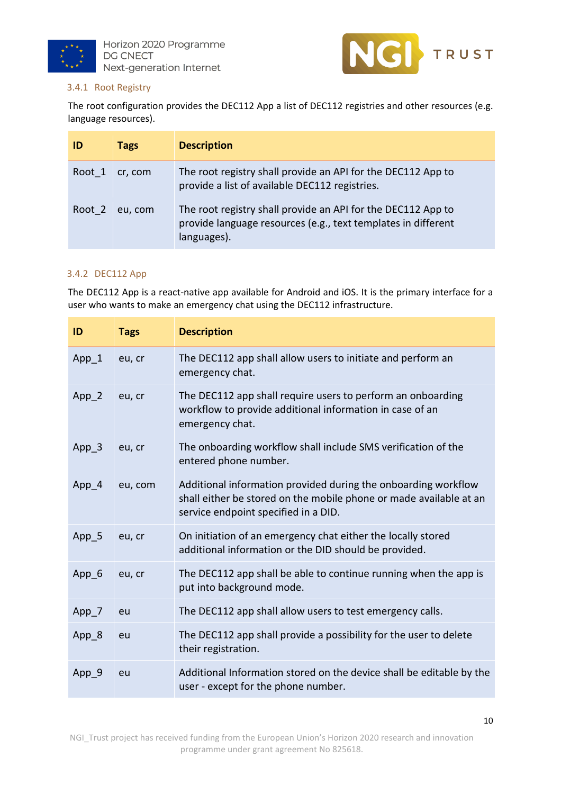



#### 3.4.1 Root Registry

The root configuration provides the DEC112 App a list of DEC112 registries and other resources (e.g. language resources).

| ID     | <b>Tags</b> | <b>Description</b>                                                                                                                           |
|--------|-------------|----------------------------------------------------------------------------------------------------------------------------------------------|
| Root 1 | cr, com     | The root registry shall provide an API for the DEC112 App to<br>provide a list of available DEC112 registries.                               |
| Root 2 | eu, com     | The root registry shall provide an API for the DEC112 App to<br>provide language resources (e.g., text templates in different<br>languages). |

#### 3.4.2 DEC112 App

The DEC112 App is a react-native app available for Android and iOS. It is the primary interface for a user who wants to make an emergency chat using the DEC112 infrastructure.

| ID      | <b>Tags</b> | <b>Description</b>                                                                                                                                                           |
|---------|-------------|------------------------------------------------------------------------------------------------------------------------------------------------------------------------------|
| App 1   | eu, cr      | The DEC112 app shall allow users to initiate and perform an<br>emergency chat.                                                                                               |
| $App_2$ | eu, cr      | The DEC112 app shall require users to perform an onboarding<br>workflow to provide additional information in case of an<br>emergency chat.                                   |
| App 3   | eu, cr      | The onboarding workflow shall include SMS verification of the<br>entered phone number.                                                                                       |
| App 4   | eu, com     | Additional information provided during the onboarding workflow<br>shall either be stored on the mobile phone or made available at an<br>service endpoint specified in a DID. |
| $App_5$ | eu, cr      | On initiation of an emergency chat either the locally stored<br>additional information or the DID should be provided.                                                        |
| App 6   | eu, cr      | The DEC112 app shall be able to continue running when the app is<br>put into background mode.                                                                                |
| App_7   | eu          | The DEC112 app shall allow users to test emergency calls.                                                                                                                    |
| App 8   | eu          | The DEC112 app shall provide a possibility for the user to delete<br>their registration.                                                                                     |
| App_9   | eu          | Additional Information stored on the device shall be editable by the<br>user - except for the phone number.                                                                  |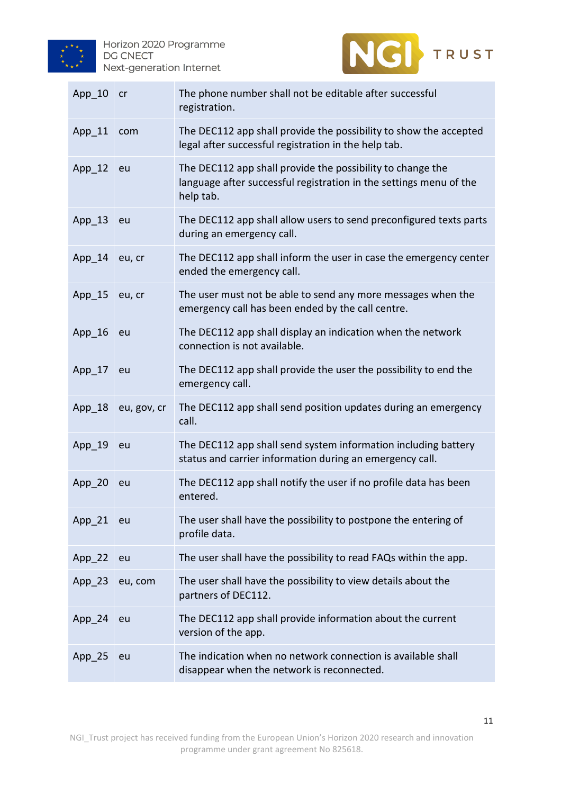



| $App_10$ | cr          | The phone number shall not be editable after successful<br>registration.                                                                      |
|----------|-------------|-----------------------------------------------------------------------------------------------------------------------------------------------|
| App_11   | com         | The DEC112 app shall provide the possibility to show the accepted<br>legal after successful registration in the help tab.                     |
| $App_12$ | eu          | The DEC112 app shall provide the possibility to change the<br>language after successful registration in the settings menu of the<br>help tab. |
| App_13   | eu          | The DEC112 app shall allow users to send preconfigured texts parts<br>during an emergency call.                                               |
| $App_14$ | eu, cr      | The DEC112 app shall inform the user in case the emergency center<br>ended the emergency call.                                                |
| App_15   | eu, cr      | The user must not be able to send any more messages when the<br>emergency call has been ended by the call centre.                             |
| $App_16$ | eu          | The DEC112 app shall display an indication when the network<br>connection is not available.                                                   |
| $App_17$ | eu          | The DEC112 app shall provide the user the possibility to end the<br>emergency call.                                                           |
| $App_18$ | eu, gov, cr | The DEC112 app shall send position updates during an emergency<br>call.                                                                       |
| $App_19$ | eu          | The DEC112 app shall send system information including battery<br>status and carrier information during an emergency call.                    |
| $App_20$ | eu          | The DEC112 app shall notify the user if no profile data has been<br>entered.                                                                  |
| $App_21$ | eu          | The user shall have the possibility to postpone the entering of<br>profile data.                                                              |
| App 22   | eu          | The user shall have the possibility to read FAQs within the app.                                                                              |
| $App_23$ | eu, com     | The user shall have the possibility to view details about the<br>partners of DEC112.                                                          |
| App_24   | eu          | The DEC112 app shall provide information about the current<br>version of the app.                                                             |
| App_25   | eu          | The indication when no network connection is available shall<br>disappear when the network is reconnected.                                    |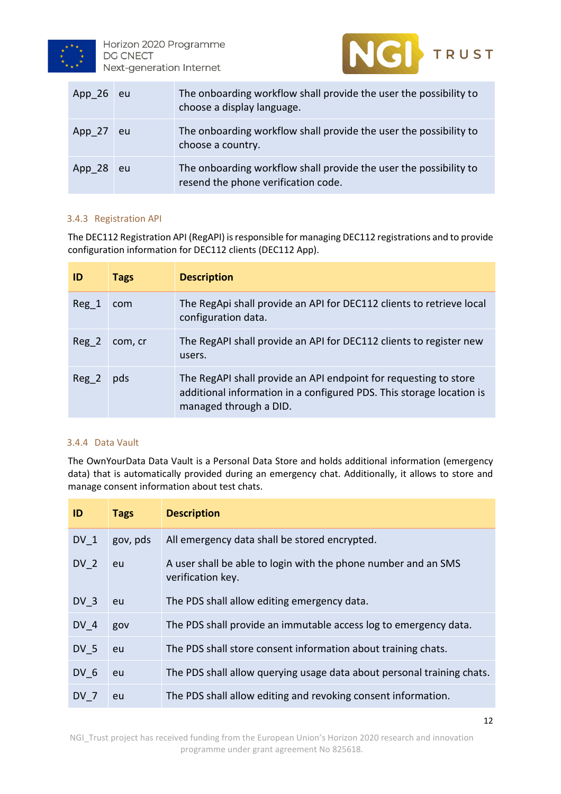



| App $26$ | eu | The onboarding workflow shall provide the user the possibility to<br>choose a display language.          |
|----------|----|----------------------------------------------------------------------------------------------------------|
| App 27   | eu | The onboarding workflow shall provide the user the possibility to<br>choose a country.                   |
| App $28$ | eu | The onboarding workflow shall provide the user the possibility to<br>resend the phone verification code. |

#### 3.4.3 Registration API

The DEC112 Registration API (RegAPI) is responsible for managing DEC112 registrations and to provide configuration information for DEC112 clients (DEC112 App).

| ID    | <b>Tags</b> | <b>Description</b>                                                                                                                                                 |
|-------|-------------|--------------------------------------------------------------------------------------------------------------------------------------------------------------------|
| Reg 1 | com         | The RegApi shall provide an API for DEC112 clients to retrieve local<br>configuration data.                                                                        |
| Reg 2 | com, cr     | The RegAPI shall provide an API for DEC112 clients to register new<br>users.                                                                                       |
| Reg 2 | pds         | The RegAPI shall provide an API endpoint for requesting to store<br>additional information in a configured PDS. This storage location is<br>managed through a DID. |

#### 3.4.4 Data Vault

The OwnYourData Data Vault is a Personal Data Store and holds additional information (emergency data) that is automatically provided during an emergency chat. Additionally, it allows to store and manage consent information about test chats.

| ID              | <b>Tags</b> | <b>Description</b>                                                                  |
|-----------------|-------------|-------------------------------------------------------------------------------------|
| DV 1            | gov, pds    | All emergency data shall be stored encrypted.                                       |
| DV <sub>2</sub> | eu          | A user shall be able to login with the phone number and an SMS<br>verification key. |
| DV <sub>3</sub> | eu          | The PDS shall allow editing emergency data.                                         |
| DV 4            | gov         | The PDS shall provide an immutable access log to emergency data.                    |
| DV 5            | eu          | The PDS shall store consent information about training chats.                       |
| DV 6            | eu          | The PDS shall allow querying usage data about personal training chats.              |
| DV <sub>7</sub> | eu          | The PDS shall allow editing and revoking consent information.                       |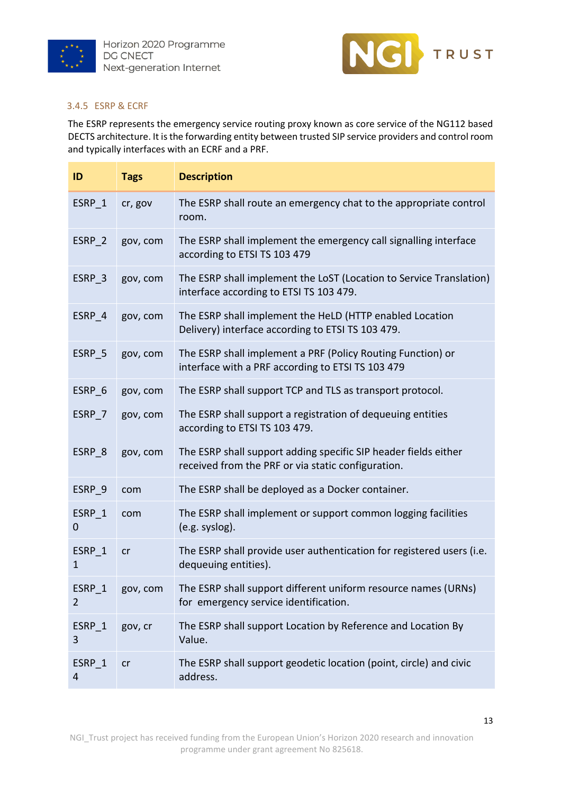



#### 3.4.5 ESRP & ECRF

The ESRP represents the emergency service routing proxy known as core service of the NG112 based DECTS architecture. It is the forwarding entity between trusted SIP service providers and control room and typically interfaces with an ECRF and a PRF.

| ID                     | <b>Tags</b> | <b>Description</b>                                                                                                    |
|------------------------|-------------|-----------------------------------------------------------------------------------------------------------------------|
| ESRP 1                 | cr, gov     | The ESRP shall route an emergency chat to the appropriate control<br>room.                                            |
| ESRP 2                 | gov, com    | The ESRP shall implement the emergency call signalling interface<br>according to ETSI TS 103 479                      |
| ESRP 3                 | gov, com    | The ESRP shall implement the LoST (Location to Service Translation)<br>interface according to ETSI TS 103 479.        |
| ESRP 4                 | gov, com    | The ESRP shall implement the HeLD (HTTP enabled Location<br>Delivery) interface according to ETSI TS 103 479.         |
| ESRP 5                 | gov, com    | The ESRP shall implement a PRF (Policy Routing Function) or<br>interface with a PRF according to ETSI TS 103 479      |
| ESRP 6                 | gov, com    | The ESRP shall support TCP and TLS as transport protocol.                                                             |
| ESRP 7                 | gov, com    | The ESRP shall support a registration of dequeuing entities<br>according to ETSI TS 103 479.                          |
| ESRP 8                 | gov, com    | The ESRP shall support adding specific SIP header fields either<br>received from the PRF or via static configuration. |
| ESRP 9                 | com         | The ESRP shall be deployed as a Docker container.                                                                     |
| ESRP 1<br>0            | com         | The ESRP shall implement or support common logging facilities<br>(e.g. syslog).                                       |
| ESRP 1<br>$\mathbf{1}$ | cr          | The ESRP shall provide user authentication for registered users (i.e.<br>dequeuing entities).                         |
| ESRP_1<br>2            | gov, com    | The ESRP shall support different uniform resource names (URNs)<br>for emergency service identification.               |
| ESRP 1<br>3            | gov, cr     | The ESRP shall support Location by Reference and Location By<br>Value.                                                |
| ESRP 1<br>4            | cr          | The ESRP shall support geodetic location (point, circle) and civic<br>address.                                        |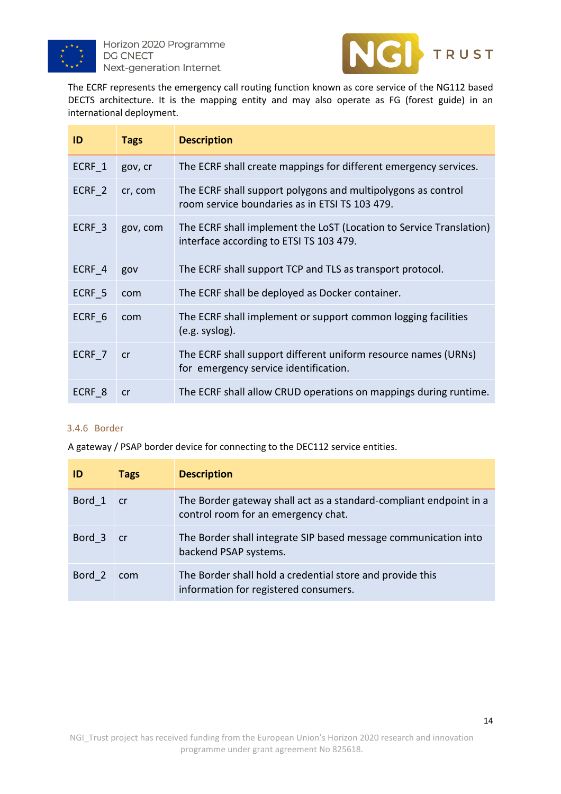



The ECRF represents the emergency call routing function known as core service of the NG112 based DECTS architecture. It is the mapping entity and may also operate as FG (forest guide) in an international deployment.

| ID                | <b>Tags</b> | <b>Description</b>                                                                                             |
|-------------------|-------------|----------------------------------------------------------------------------------------------------------------|
| ECRF 1            | gov, cr     | The ECRF shall create mappings for different emergency services.                                               |
| ECRF 2            | cr, com     | The ECRF shall support polygons and multipolygons as control<br>room service boundaries as in ETSI TS 103 479. |
| ECRF 3            | gov, com    | The ECRF shall implement the LoST (Location to Service Translation)<br>interface according to ETSI TS 103 479. |
| ECRF 4            | gov         | The ECRF shall support TCP and TLS as transport protocol.                                                      |
| ECRF 5            | com         | The ECRF shall be deployed as Docker container.                                                                |
| ECRF 6            | com         | The ECRF shall implement or support common logging facilities<br>$(e.g.$ syslog).                              |
| ECRF 7            | cr          | The ECRF shall support different uniform resource names (URNs)<br>for emergency service identification.        |
| ECRF <sub>8</sub> | cr          | The ECRF shall allow CRUD operations on mappings during runtime.                                               |

#### 3.4.6 Border

A gateway / PSAP border device for connecting to the DEC112 service entities.

| ID     | <b>Tags</b> | <b>Description</b>                                                                                        |
|--------|-------------|-----------------------------------------------------------------------------------------------------------|
| Bord 1 | cr          | The Border gateway shall act as a standard-compliant endpoint in a<br>control room for an emergency chat. |
| Bord 3 | cr          | The Border shall integrate SIP based message communication into<br>backend PSAP systems.                  |
| Bord 2 | com         | The Border shall hold a credential store and provide this<br>information for registered consumers.        |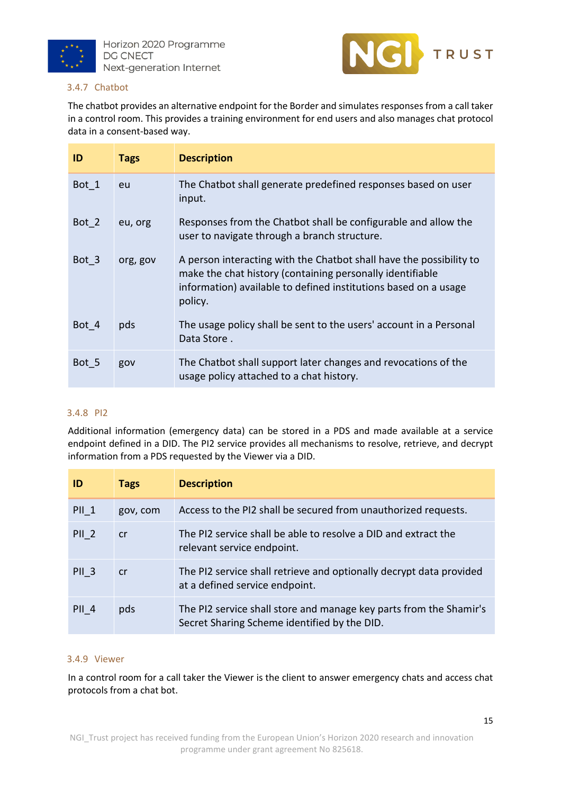



#### 3.4.7 Chatbot

The chatbot provides an alternative endpoint for the Border and simulates responses from a call taker in a control room. This provides a training environment for end users and also manages chat protocol data in a consent-based way.

| ID    | <b>Tags</b> | <b>Description</b>                                                                                                                                                                                             |
|-------|-------------|----------------------------------------------------------------------------------------------------------------------------------------------------------------------------------------------------------------|
| Bot 1 | eu          | The Chatbot shall generate predefined responses based on user<br>input.                                                                                                                                        |
| Bot 2 | eu, org     | Responses from the Chatbot shall be configurable and allow the<br>user to navigate through a branch structure.                                                                                                 |
| Bot 3 | org, gov    | A person interacting with the Chatbot shall have the possibility to<br>make the chat history (containing personally identifiable<br>information) available to defined institutions based on a usage<br>policy. |
| Bot 4 | pds         | The usage policy shall be sent to the users' account in a Personal<br>Data Store.                                                                                                                              |
| Bot 5 | gov         | The Chatbot shall support later changes and revocations of the<br>usage policy attached to a chat history.                                                                                                     |

#### 3.4.8 PI2

Additional information (emergency data) can be stored in a PDS and made available at a service endpoint defined in a DID. The PI2 service provides all mechanisms to resolve, retrieve, and decrypt information from a PDS requested by the Viewer via a DID.

| ID               | <b>Tags</b> | <b>Description</b>                                                                                                 |
|------------------|-------------|--------------------------------------------------------------------------------------------------------------------|
| <b>PII 1</b>     | gov, com    | Access to the PI2 shall be secured from unauthorized requests.                                                     |
| PII <sub>2</sub> | cr          | The PI2 service shall be able to resolve a DID and extract the<br>relevant service endpoint.                       |
| <b>PII 3</b>     | cr          | The PI2 service shall retrieve and optionally decrypt data provided<br>at a defined service endpoint.              |
| PII <sub>4</sub> | pds         | The PI2 service shall store and manage key parts from the Shamir's<br>Secret Sharing Scheme identified by the DID. |

#### 3.4.9 Viewer

In a control room for a call taker the Viewer is the client to answer emergency chats and access chat protocols from a chat bot.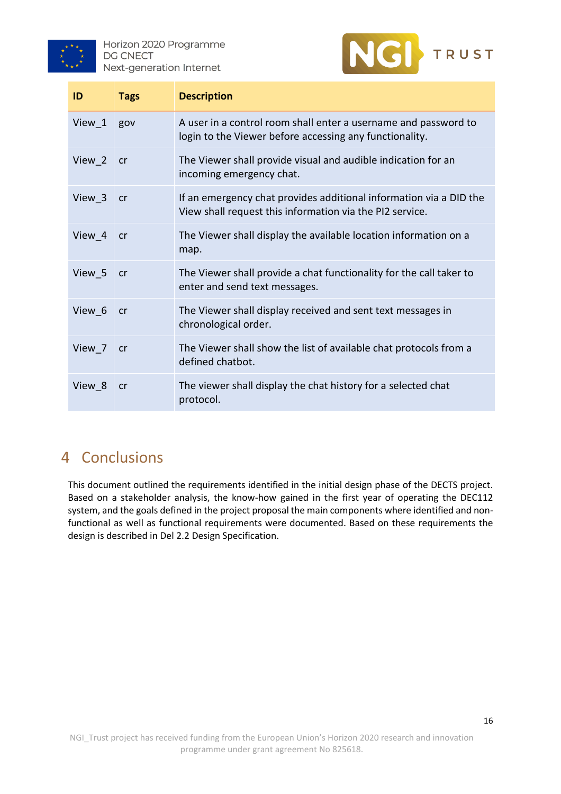



| ID                 | <b>Tags</b> | <b>Description</b>                                                                                                             |
|--------------------|-------------|--------------------------------------------------------------------------------------------------------------------------------|
| View 1             | gov         | A user in a control room shall enter a username and password to<br>login to the Viewer before accessing any functionality.     |
| View 2             | cr          | The Viewer shall provide visual and audible indication for an<br>incoming emergency chat.                                      |
| View 3             | cr          | If an emergency chat provides additional information via a DID the<br>View shall request this information via the PI2 service. |
| View 4             | cr          | The Viewer shall display the available location information on a<br>map.                                                       |
| View 5             | cr          | The Viewer shall provide a chat functionality for the call taker to<br>enter and send text messages.                           |
| View 6             | cr          | The Viewer shall display received and sent text messages in<br>chronological order.                                            |
| View 7             | cr          | The Viewer shall show the list of available chat protocols from a<br>defined chatbot.                                          |
| View <sub>_8</sub> | <b>cr</b>   | The viewer shall display the chat history for a selected chat<br>protocol.                                                     |

## <span id="page-15-0"></span>4 Conclusions

This document outlined the requirements identified in the initial design phase of the DECTS project. Based on a stakeholder analysis, the know-how gained in the first year of operating the DEC112 system, and the goals defined in the project proposal the main components where identified and nonfunctional as well as functional requirements were documented. Based on these requirements the design is described in Del 2.2 Design Specification.